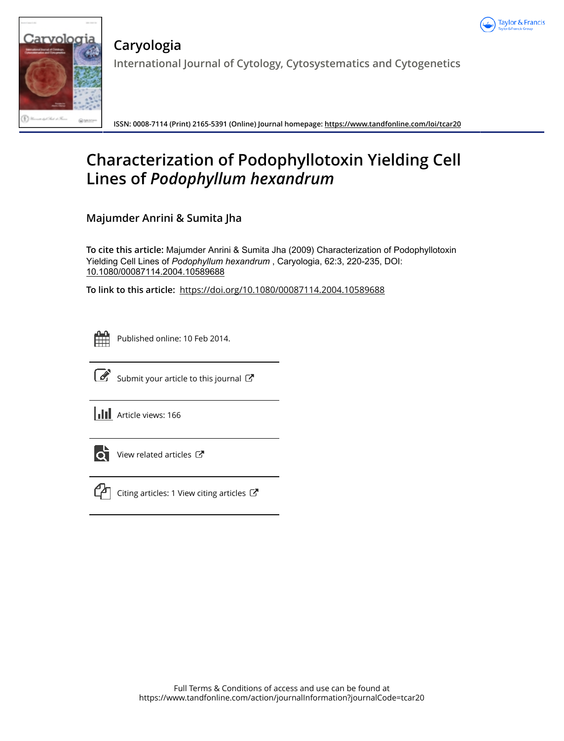



**Caryologia International Journal of Cytology, Cytosystematics and Cytogenetics**

**ISSN: 0008-7114 (Print) 2165-5391 (Online) Journal homepage: https://www.tandfonline.com/loi/tcar20**

# **Characterization of Podophyllotoxin Yielding Cell Lines of** *Podophyllum hexandrum*

**Majumder Anrini & Sumita Jha**

**To cite this article:** Majumder Anrini & Sumita Jha (2009) Characterization of Podophyllotoxin Yielding Cell Lines of *Podophyllumhexandrum* , Caryologia, 62:3, 220-235, DOI: 10.1080/00087114.2004.10589688

**To link to this article:** https://doi.org/10.1080/00087114.2004.10589688



Published online: 10 Feb 2014.



 $\overline{\mathcal{G}}$  Submit your article to this journal  $\overline{\mathcal{G}}$ 

**III** Article views: 166



View related articles C



 $\mathbb{C}$  Citing articles: 1 View citing articles  $\mathbb{C}$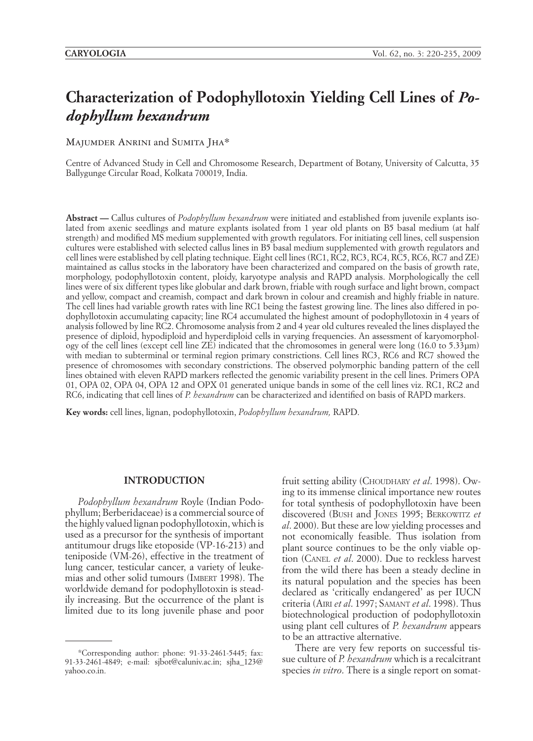# **Characterization of Podophyllotoxin Yielding Cell Lines of** *Podophyllum hexandrum*

MAJUMDER ANRINI and SUMITA JHA\*

Centre of Advanced Study in Cell and Chromosome Research, Department of Botany, University of Calcutta, 35 Ballygunge Circular Road, Kolkata 700019, India.

**Abstract —** Callus cultures of *Podophyllum hexandrum* were initiated and established from juvenile explants isolated from axenic seedlings and mature explants isolated from 1 year old plants on B5 basal medium (at half strength) and modified MS medium supplemented with growth regulators. For initiating cell lines, cell suspension cultures were established with selected callus lines in B5 basal medium supplemented with growth regulators and cell lines were established by cell plating technique. Eight cell lines (RC1, RC2, RC3, RC4, RC5, RC6, RC7 and ZE) maintained as callus stocks in the laboratory have been characterized and compared on the basis of growth rate, morphology, podophyllotoxin content, ploidy, karyotype analysis and RAPD analysis. Morphologically the cell lines were of six different types like globular and dark brown, friable with rough surface and light brown, compact and yellow, compact and creamish, compact and dark brown in colour and creamish and highly friable in nature. The cell lines had variable growth rates with line RC1 being the fastest growing line. The lines also differed in podophyllotoxin accumulating capacity; line RC4 accumulated the highest amount of podophyllotoxin in 4 years of analysis followed by line RC2. Chromosome analysis from 2 and 4 year old cultures revealed the lines displayed the presence of diploid, hypodiploid and hyperdiploid cells in varying frequencies. An assessment of karyomorphology of the cell lines (except cell line  $\overline{ZE}$ ) indicated that the chromosomes in general were long (16.0 to 5.33µm) with median to subterminal or terminal region primary constrictions. Cell lines RC3, RC6 and RC7 showed the presence of chromosomes with secondary constrictions. The observed polymorphic banding pattern of the cell lines obtained with eleven RAPD markers reflected the genomic variability present in the cell lines. Primers OPA 01, OPA 02, OPA 04, OPA 12 and OPX 01 generated unique bands in some of the cell lines viz. RC1, RC2 and RC6, indicating that cell lines of *P. hexandrum* can be characterized and identified on basis of RAPD markers.

**Key words:** cell lines, lignan, podophyllotoxin, *Podophyllum hexandrum,* RAPD.

#### **INTRODUCTION**

*Podophyllum hexandrum* Royle (Indian Podophyllum; Berberidaceae) is a commercial source of the highly valued lignan podophyllotoxin, which is used as a precursor for the synthesis of important antitumour drugs like etoposide (VP-16-213) and teniposide (VM-26), effective in the treatment of lung cancer, testicular cancer, a variety of leukemias and other solid tumours (IMBERT 1998). The worldwide demand for podophyllotoxin is steadily increasing. But the occurrence of the plant is limited due to its long juvenile phase and poor

fruit setting ability (Choudhary *et al.* 1998). Owing to its immense clinical importance new routes for total synthesis of podophyllotoxin have been discovered (Bush and Jones 1995; Berkowitz *et al*. 2000). But these are low yielding processes and not economically feasible. Thus isolation from plant source continues to be the only viable option (Canel *et al*. 2000). Due to reckless harvest from the wild there has been a steady decline in its natural population and the species has been declared as 'critically endangered' as per IUCN criteria (Airi *et al*. 1997; Samant *et al*. 1998). Thus biotechnological production of podophyllotoxin using plant cell cultures of *P. hexandrum* appears to be an attractive alternative.

There are very few reports on successful tissue culture of *P. hexandrum* which is a recalcitrant species *in vitro*. There is a single report on somat-

<sup>\*</sup>Corresponding author: phone: 91-33-2461-5445; fax: 91-33-2461-4849; e-mail: sjbot@caluniv.ac.in; sjha\_123@ yahoo.co.in.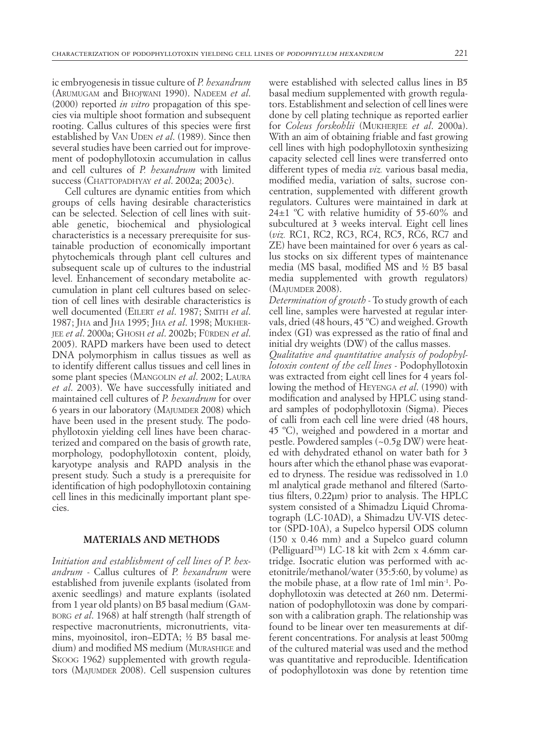ic embryogenesis in tissue culture of *P. hexandrum*  (Arumugam and Bhojwani 1990). Nadeem *et al*. (2000) reported *in vitro* propagation of this species via multiple shoot formation and subsequent rooting. Callus cultures of this species were first established by VAN UDEN *et al.* (1989). Since then several studies have been carried out for improvement of podophyllotoxin accumulation in callus and cell cultures of *P. hexandrum* with limited success (CHATTOPADHYAY *et al.* 2002a; 2003c).

Cell cultures are dynamic entities from which groups of cells having desirable characteristics can be selected. Selection of cell lines with suitable genetic, biochemical and physiological characteristics is a necessary prerequisite for sustainable production of economically important phytochemicals through plant cell cultures and subsequent scale up of cultures to the industrial level. Enhancement of secondary metabolite accumulation in plant cell cultures based on selection of cell lines with desirable characteristics is well documented (Eilert *et al*. 1987; Smith *et al*. 1987; Jha and Jha 1995; Jha *et al*. 1998; Mukherjee *et al*. 2000a; Ghosh *et al*. 2002b; Fürden *et al*. 2005). RAPD markers have been used to detect DNA polymorphism in callus tissues as well as to identify different callus tissues and cell lines in some plant species (Mangolin *et al*. 2002; Laura *et al*. 2003). We have successfully initiated and maintained cell cultures of *P. hexandrum* for over 6 years in our laboratory (MAJUMDER 2008) which have been used in the present study. The podophyllotoxin yielding cell lines have been characterized and compared on the basis of growth rate, morphology, podophyllotoxin content, ploidy, karyotype analysis and RAPD analysis in the present study. Such a study is a prerequisite for identification of high podophyllotoxin containing cell lines in this medicinally important plant species.

## **MATERIALS AND METHODS**

*Initiation and establishment of cell lines of P. hexandrum* - Callus cultures of *P. hexandrum* were established from juvenile explants (isolated from axenic seedlings) and mature explants (isolated from 1 year old plants) on B5 basal medium (Gamborg *et al*. 1968) at half strength (half strength of respective macronutrients, micronutrients, vitamins, myoinositol, iron–EDTA; ½ B5 basal medium) and modified MS medium (Murashige and Skoog 1962) supplemented with growth regulators (MAJUMDER 2008). Cell suspension cultures were established with selected callus lines in B5 basal medium supplemented with growth regulators. Establishment and selection of cell lines were done by cell plating technique as reported earlier for *Coleus forskohlii* (Mukherjee *et al*. 2000a). With an aim of obtaining friable and fast growing cell lines with high podophyllotoxin synthesizing capacity selected cell lines were transferred onto different types of media *viz.* various basal media, modified media, variation of salts, sucrose concentration, supplemented with different growth regulators. Cultures were maintained in dark at 24±1 ºC with relative humidity of 55-60% and subcultured at 3 weeks interval. Eight cell lines (*viz.* RC1, RC2, RC3, RC4, RC5, RC6, RC7 and ZE) have been maintained for over 6 years as callus stocks on six different types of maintenance media (MS basal, modified MS and ½ B5 basal media supplemented with growth regulators) (Majumder 2008).

*Determination of growth -* To study growth of each cell line, samples were harvested at regular intervals, dried (48 hours, 45 ºC) and weighed. Growth index (GI) was expressed as the ratio of final and initial dry weights (DW) of the callus masses.

*Qualitative and quantitative analysis of podophyllotoxin content of the cell lines -* Podophyllotoxin was extracted from eight cell lines for 4 years following the method of Heyenga *et al*. (1990) with modification and analysed by HPLC using standard samples of podophyllotoxin (Sigma). Pieces of calli from each cell line were dried (48 hours, 45 ºC), weighed and powdered in a mortar and pestle. Powdered samples (~0.5g DW) were heated with dehydrated ethanol on water bath for 3 hours after which the ethanol phase was evaporated to dryness. The residue was redissolved in 1.0 ml analytical grade methanol and filtered (Sartotius filters, 0.22µm) prior to analysis. The HPLC system consisted of a Shimadzu Liquid Chromatograph (LC-10AD), a Shimadzu UV-VIS detector (SPD-10A), a Supelco hypersil ODS column (150 x 0.46 mm) and a Supelco guard column (Pelliguard<sup>TM</sup>) LC-18 kit with 2cm x 4.6mm cartridge. Isocratic elution was performed with acetonitrile/methanol/water (35:5:60, by volume) as the mobile phase, at a flow rate of 1ml min-1. Podophyllotoxin was detected at 260 nm. Determination of podophyllotoxin was done by comparison with a calibration graph. The relationship was found to be linear over ten measurements at different concentrations. For analysis at least 500mg of the cultured material was used and the method was quantitative and reproducible. Identification of podophyllotoxin was done by retention time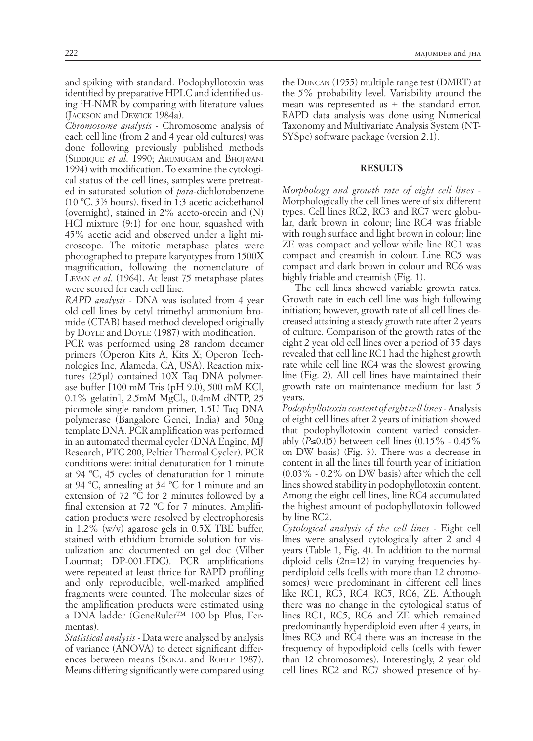(Jackson and Dewick 1984a). *Chromosome analysis -* Chromosome analysis of each cell line (from 2 and 4 year old cultures) was done following previously published methods (SIDDIQUE et al. 1990; ARUMUGAM and BHOJWANI 1994) with modification. To examine the cytological status of the cell lines, samples were pretreated in saturated solution of *para*-dichlorobenzene (10 ºC, 3½ hours), fixed in 1:3 acetic acid:ethanol (overnight), stained in 2% aceto-orcein and (N) HCl mixture (9:1) for one hour, squashed with 45% acetic acid and observed under a light microscope. The mitotic metaphase plates were photographed to prepare karyotypes from 1500X magnification, following the nomenclature of Levan *et al*. (1964). At least 75 metaphase plates were scored for each cell line.

*RAPD analysis -* DNA was isolated from 4 year old cell lines by cetyl trimethyl ammonium bromide (CTAB) based method developed originally by Doyle and Doyle (1987) with modification.

PCR was performed using 28 random decamer primers (Operon Kits A, Kits X; Operon Technologies Inc, Alameda, CA, USA). Reaction mixtures (25µl) contained 10X Taq DNA polymerase buffer [100 mM Tris (pH 9.0), 500 mM KCl,  $0.1\%$  gelatin],  $2.5 \text{mM}$  MgCl<sub>2</sub>,  $0.4 \text{mM}$  dNTP,  $25$ picomole single random primer, 1.5U Taq DNA polymerase (Bangalore Genei, India) and 50ng template DNA. PCR amplification was performed in an automated thermal cycler (DNA Engine, MJ Research, PTC 200, Peltier Thermal Cycler). PCR conditions were: initial denaturation for 1 minute at 94 ºC, 45 cycles of denaturation for 1 minute at 94 ºC, annealing at 34 ºC for 1 minute and an extension of 72 ºC for 2 minutes followed by a final extension at 72 ºC for 7 minutes. Amplification products were resolved by electrophoresis in 1.2% (w/v) agarose gels in 0.5X TBE buffer, stained with ethidium bromide solution for visualization and documented on gel doc (Vilber Lourmat; DP-001.FDC). PCR amplifications were repeated at least thrice for RAPD profiling and only reproducible, well-marked amplified fragments were counted. The molecular sizes of the amplification products were estimated using a DNA ladder (GeneRuler™ 100 bp Plus, Fermentas).

*Statistical analysis -* Data were analysed by analysis of variance (ANOVA) to detect significant differences between means (SOKAL and ROHLF 1987). Means differing significantly were compared using

the Duncan (1955) multiple range test (DMRT) at the 5% probability level. Variability around the mean was represented as  $\pm$  the standard error. RAPD data analysis was done using Numerical Taxonomy and Multivariate Analysis System (NT-SYSpc) software package (version 2.1).

### **RESULTS**

*Morphology and growth rate of eight cell lines* - Morphologically the cell lines were of six different types. Cell lines RC2, RC3 and RC7 were globular, dark brown in colour; line RC4 was friable with rough surface and light brown in colour; line ZE was compact and yellow while line RC1 was compact and creamish in colour. Line RC5 was compact and dark brown in colour and RC6 was highly friable and creamish (Fig. 1).

The cell lines showed variable growth rates. Growth rate in each cell line was high following initiation; however, growth rate of all cell lines decreased attaining a steady growth rate after 2 years of culture. Comparison of the growth rates of the eight 2 year old cell lines over a period of 35 days revealed that cell line RC1 had the highest growth rate while cell line RC4 was the slowest growing line (Fig. 2). All cell lines have maintained their growth rate on maintenance medium for last 5 years.

*Podophyllotoxin content of eight cell lines* - Analysis of eight cell lines after 2 years of initiation showed that podophyllotoxin content varied considerably (*P*≤0.05) between cell lines (0.15% - 0.45% on DW basis) (Fig. 3). There was a decrease in content in all the lines till fourth year of initiation (0.03% - 0.2% on DW basis) after which the cell lines showed stability in podophyllotoxin content. Among the eight cell lines, line RC4 accumulated the highest amount of podophyllotoxin followed by line RC2.

*Cytological analysis of the cell lines* - Eight cell lines were analysed cytologically after 2 and 4 years (Table 1, Fig. 4). In addition to the normal diploid cells  $(2n=12)$  in varying frequencies hyperdiploid cells (cells with more than 12 chromosomes) were predominant in different cell lines like RC1, RC3, RC4, RC5, RC6, ZE. Although there was no change in the cytological status of lines RC1, RC5, RC6 and ZE which remained predominantly hyperdiploid even after 4 years, in lines RC3 and RC4 there was an increase in the frequency of hypodiploid cells (cells with fewer than 12 chromosomes). Interestingly, 2 year old cell lines RC2 and RC7 showed presence of hy-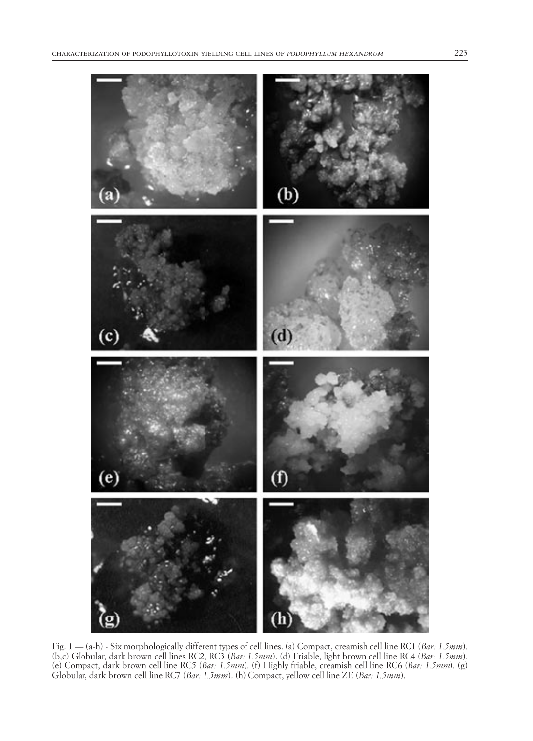

Fig. 1 — (a-h) - Six morphologically different types of cell lines. (a) Compact, creamish cell line RC1 (*Bar: 1.5mm*). (b,c) Globular, dark brown cell lines RC2, RC3 (*Bar: 1.5mm*). (d) Friable, light brown cell line RC4 (*Bar: 1.5mm*). (e) Compact, dark brown cell line RC5 (*Bar: 1.5mm*). (f) Highly friable, creamish cell line RC6 (*Bar: 1.5mm*). (g) Globular, dark brown cell line RC7 (*Bar: 1.5mm*). (h) Compact, yellow cell line ZE (*Bar: 1.5mm*).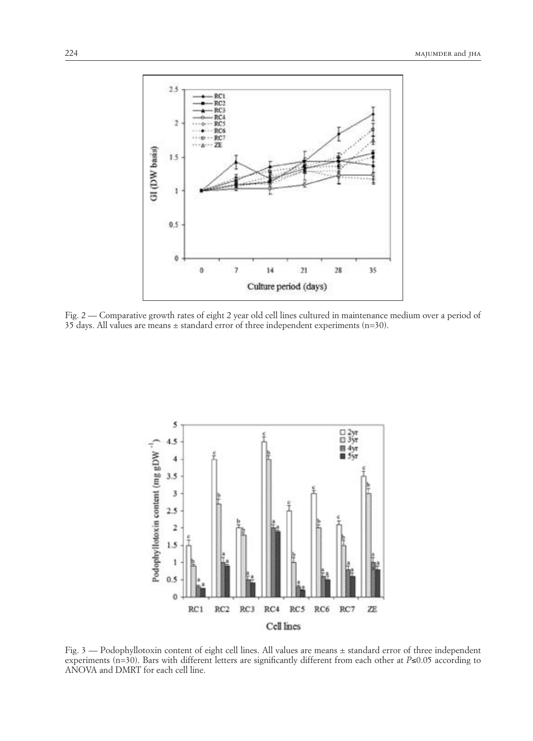

Fig. 2 — Comparative growth rates of eight 2 year old cell lines cultured in maintenance medium over a period of 35 days. All values are means  $\pm$  standard error of three independent experiments (n=30).



Fig. 3 — Podophyllotoxin content of eight cell lines. All values are means ± standard error of three independent experiments (n=30). Bars with different letters are significantly different from each other at *P*≤0.05 according to ANOVA and DMRT for each cell line.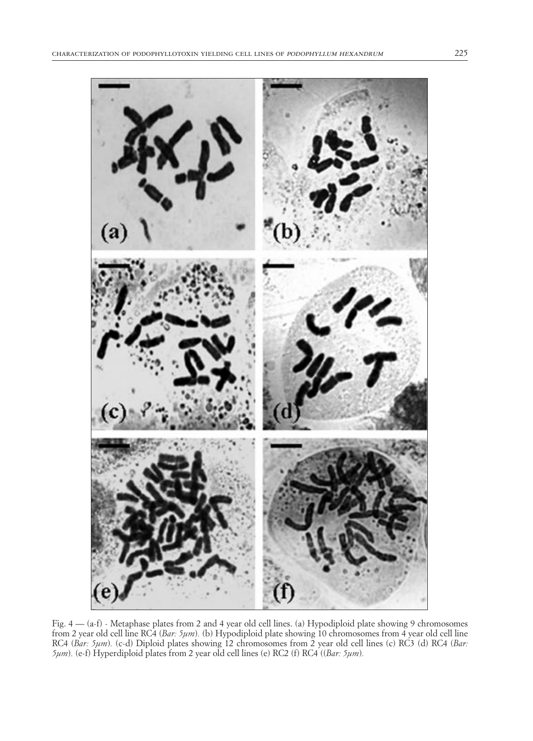

Fig. 4 — (a-f) - Metaphase plates from 2 and 4 year old cell lines. (a) Hypodiploid plate showing 9 chromosomes from 2 year old cell line RC4 (*Bar: 5µm*)*.* (b) Hypodiploid plate showing 10 chromosomes from 4 year old cell line RC4 (*Bar: 5µm*)*.* (c-d) Diploid plates showing 12 chromosomes from 2 year old cell lines (c) RC3 (d) RC4 (*Bar: 5µm*)*.* (e-f) Hyperdiploid plates from 2 year old cell lines (e) RC2 (f) RC4 ((*Bar: 5µm*)*.*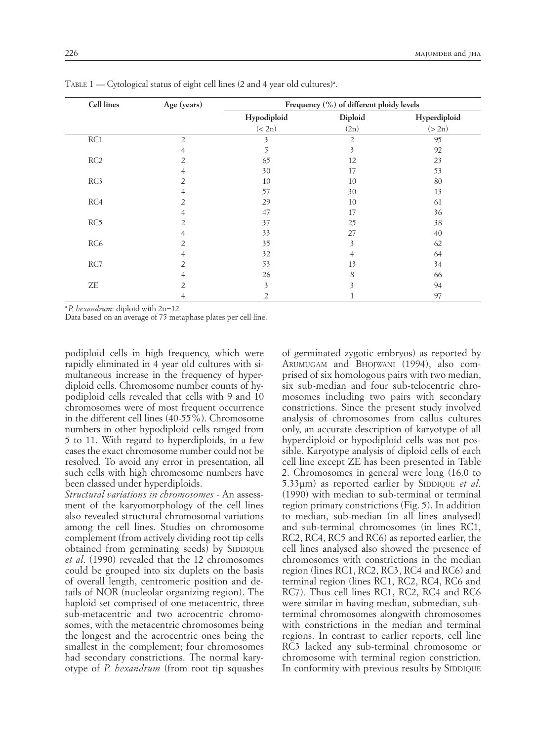| <b>Cell lines</b>          | Age (years)    | Frequency (%) of different ploidy levels |                |              |
|----------------------------|----------------|------------------------------------------|----------------|--------------|
|                            |                | Hypodiploid                              | Diploid        | Hyperdiploid |
|                            |                | (< 2n)                                   | (2n)           | (>2n)        |
| RC1                        | $\overline{2}$ | 3                                        | $\mathfrak{D}$ | 95           |
|                            | 4              | 5                                        | 3              | 92           |
| RC2                        |                | 65                                       | 12             | 23           |
|                            | 4              | 30                                       | 17             | 53           |
| RC3                        |                | 10                                       | 10             | 80           |
|                            | 4              | 57                                       | 30             | 13           |
| RC4                        | 2              | 29                                       | 10             | 61           |
|                            |                | 47                                       | 17             | 36           |
| RC5                        |                | 37                                       | 25             | 38           |
|                            |                | 33                                       | 27             | 40           |
| RC <sub>6</sub>            |                | 35                                       |                | 62           |
|                            |                | 32                                       |                | 64           |
| RC7                        | 2              | 53                                       | 13             | 34           |
|                            |                | 26                                       | 8              | 66           |
| $\ensuremath{\mathsf{ZE}}$ | $\mathfrak{D}$ | 3                                        |                | 94           |
|                            |                | $\overline{2}$                           |                | 97           |

TABLE  $1$  — Cytological status of eight cell lines (2 and 4 year old cultures)<sup>a</sup>.

<sup>a</sup>*P. hexandrum*: diploid with 2n=12

Data based on an average of 75 metaphase plates per cell line.

podiploid cells in high frequency, which were rapidly eliminated in 4 year old cultures with simultaneous increase in the frequency of hyperdiploid cells. Chromosome number counts of hypodiploid cells revealed that cells with 9 and 10 chromosomes were of most frequent occurrence in the different cell lines (40-55%). Chromosome numbers in other hypodiploid cells ranged from 5 to 11. With regard to hyperdiploids, in a few cases the exact chromosome number could not be resolved. To avoid any error in presentation, all such cells with high chromosome numbers have been classed under hyperdiploids.

*Structural variations in chromosomes* - An assessment of the karyomorphology of the cell lines also revealed structural chromosomal variations among the cell lines. Studies on chromosome complement (from actively dividing root tip cells obtained from germinating seeds) by SIDDIQUE *et al*. (1990) revealed that the 12 chromosomes could be grouped into six duplets on the basis of overall length, centromeric position and details of NOR (nucleolar organizing region). The haploid set comprised of one metacentric, three sub-metacentric and two acrocentric chromosomes, with the metacentric chromosomes being the longest and the acrocentric ones being the smallest in the complement; four chromosomes had secondary constrictions. The normal karyotype of *P. hexandrum* (from root tip squashes

of germinated zygotic embryos) as reported by Arumugam and Bhojwani (1994), also comprised of six homologous pairs with two median, six sub-median and four sub-telocentric chromosomes including two pairs with secondary constrictions. Since the present study involved analysis of chromosomes from callus cultures only, an accurate description of karyotype of all hyperdiploid or hypodiploid cells was not possible. Karyotype analysis of diploid cells of each cell line except ZE has been presented in Table 2. Chromosomes in general were long (16.0 to 5.33µm) as reported earlier by SIDDIQUE *et al.* (1990) with median to sub-terminal or terminal region primary constrictions (Fig. 5). In addition to median, sub-median (in all lines analysed) and sub-terminal chromosomes (in lines RC1, RC2, RC4, RC5 and RC6) as reported earlier, the cell lines analysed also showed the presence of chromosomes with constrictions in the median region (lines RC1, RC2, RC3, RC4 and RC6) and terminal region (lines RC1, RC2, RC4, RC6 and RC7). Thus cell lines RC1, RC2, RC4 and RC6 were similar in having median, submedian, subterminal chromosomes alongwith chromosomes with constrictions in the median and terminal regions. In contrast to earlier reports, cell line RC3 lacked any sub-terminal chromosome or chromosome with terminal region constriction. In conformity with previous results by SIDDIQUE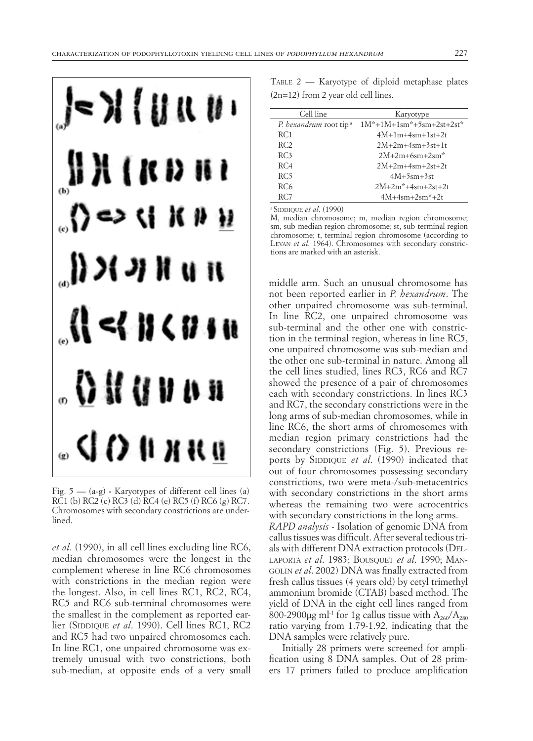

Fig. 5 — (a-g) **-** Karyotypes of different cell lines (a) RC1 (b) RC2 (c) RC3 (d) RC4 (e) RC5 (f) RC6 (g) RC7. Chromosomes with secondary constrictions are underlined.

*et al*. (1990), in all cell lines excluding line RC6, median chromosomes were the longest in the complement wherese in line RC6 chromosomes with constrictions in the median region were the longest. Also, in cell lines RC1, RC2, RC4, RC5 and RC6 sub-terminal chromosomes were the smallest in the complement as reported earlier (SIDDIQUE et al. 1990). Cell lines RC1, RC2 and RC5 had two unpaired chromosomes each. In line RC1, one unpaired chromosome was extremely unusual with two constrictions, both sub-median, at opposite ends of a very small

TABLE  $2$  — Karyotype of diploid metaphase plates (2n=12) from 2 year old cell lines.

| Cell line                          | Karyotype                  |  |
|------------------------------------|----------------------------|--|
| P. hexandrum root tip <sup>a</sup> | $1M*+1M+1sm*+5sm+2st+2st*$ |  |
| RC1                                | $4M+1m+4sm+1st+2t$         |  |
| RC <sub>2</sub>                    | $2M+2m+4sm+3st+1t$         |  |
| RC3                                | $2M+2m+6sm+2sm*$           |  |
| RC <sub>4</sub>                    | $2M+2m+4sm+2st+2t$         |  |
| RC5                                | $4M+5sm+3st$               |  |
| RC6                                | $2M+2m*+4sm+2st+2t$        |  |
| RC7                                | $4M+4sm+2sm*+2t$           |  |
| .                                  |                            |  |

a SIDDIQUE *et al.* (1990)

M, median chromosome; m, median region chromosome; sm, sub-median region chromosome; st, sub-terminal region chromosome; t, terminal region chromosome (according to LEVAN et al. 1964). Chromosomes with secondary constrictions are marked with an asterisk.

middle arm. Such an unusual chromosome has not been reported earlier in *P. hexandrum*. The other unpaired chromosome was sub-terminal. In line RC2, one unpaired chromosome was sub-terminal and the other one with constriction in the terminal region, whereas in line RC5, one unpaired chromosome was sub-median and the other one sub-terminal in nature. Among all the cell lines studied, lines RC3, RC6 and RC7 showed the presence of a pair of chromosomes each with secondary constrictions. In lines RC3 and RC7, the secondary constrictions were in the long arms of sub-median chromosomes, while in line RC6, the short arms of chromosomes with median region primary constrictions had the secondary constrictions (Fig. 5). Previous reports by SIDDIQUE et al. (1990) indicated that out of four chromosomes possessing secondary constrictions, two were meta-/sub-metacentrics with secondary constrictions in the short arms whereas the remaining two were acrocentrics with secondary constrictions in the long arms. *RAPD analysis -* Isolation of genomic DNA from callus tissues was difficult. After several tedious trials with different DNA extraction protocols (Dellaporta *et al*. 1983; Bousquet *et al*. 1990; Mangolin *et al*. 2002) DNA was finally extracted from fresh callus tissues (4 years old) by cetyl trimethyl ammonium bromide (CTAB) based method. The yield of DNA in the eight cell lines ranged from 800-2900µg ml<sup>-1</sup> for 1g callus tissue with  $A_{260}/A_{280}$ ratio varying from 1.79-1.92, indicating that the DNA samples were relatively pure.

Initially 28 primers were screened for amplification using 8 DNA samples. Out of 28 primers 17 primers failed to produce amplification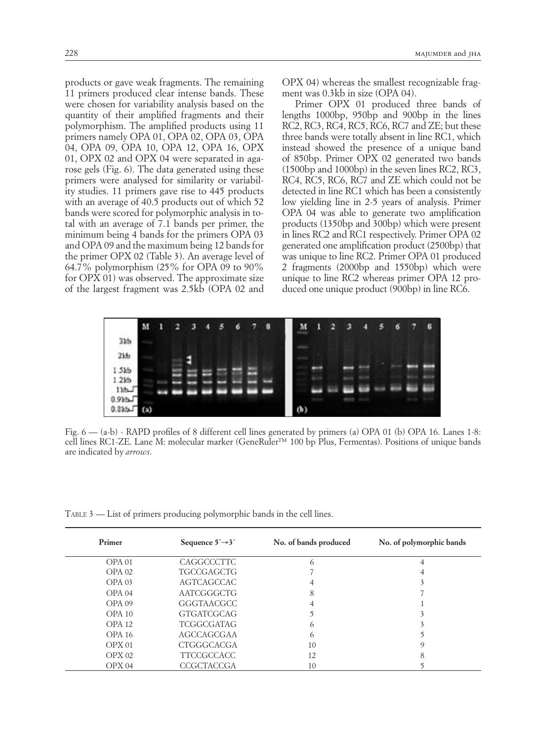products or gave weak fragments. The remaining 11 primers produced clear intense bands. These were chosen for variability analysis based on the quantity of their amplified fragments and their polymorphism. The amplified products using 11 primers namely OPA 01, OPA 02, OPA 03, OPA 04, OPA 09, OPA 10, OPA 12, OPA 16, OPX 01, OPX 02 and OPX 04 were separated in agarose gels (Fig. 6). The data generated using these primers were analysed for similarity or variability studies. 11 primers gave rise to 445 products with an average of 40.5 products out of which 52 bands were scored for polymorphic analysis in total with an average of 7.1 bands per primer, the minimum being 4 bands for the primers OPA 03 and OPA 09 and the maximum being 12 bands for the primer OPX 02 (Table 3). An average level of 64.7% polymorphism (25% for OPA 09 to 90% for OPX 01) was observed. The approximate size of the largest fragment was 2.5kb (OPA 02 and

OPX 04) whereas the smallest recognizable fragment was 0.3kb in size (OPA 04).

Primer OPX 01 produced three bands of lengths 1000bp, 950bp and 900bp in the lines RC2, RC3, RC4, RC5, RC6, RC7 and ZE; but these three bands were totally absent in line RC1, which instead showed the presence of a unique band of 850bp. Primer OPX 02 generated two bands (1500bp and 1000bp) in the seven lines RC2, RC3, RC4, RC5, RC6, RC7 and ZE which could not be detected in line RC1 which has been a consistently low yielding line in 2-5 years of analysis. Primer OPA 04 was able to generate two amplification products (1350bp and 300bp) which were present in lines RC2 and RC1 respectively. Primer OPA 02 generated one amplification product (2500bp) that was unique to line RC2. Primer OPA 01 produced 2 fragments (2000bp and 1550bp) which were unique to line RC2 whereas primer OPA 12 produced one unique product (900bp) in line RC6.



Fig. 6 — (a-b) - RAPD profiles of 8 different cell lines generated by primers (a) OPA 01 (b) OPA 16. Lanes 1-8: cell lines RC1-ZE. Lane M: molecular marker (GeneRuler™ 100 bp Plus, Fermentas). Positions of unique bands are indicated by *arrows*.

 $TABLE 3$  — List of primers producing polymorphic bands in the cell lines.

| Primer            | Sequence $5' \rightarrow 3'$ | No. of bands produced | No. of polymorphic bands |
|-------------------|------------------------------|-----------------------|--------------------------|
| OPA <sub>01</sub> | CAGGCCCTTC                   | 6                     |                          |
| OPA <sub>02</sub> | TGCCGAGCTG                   |                       |                          |
| OPA <sub>03</sub> | AGTCAGCCAC                   |                       |                          |
| OPA <sub>04</sub> | AATCGGGCTG                   | 8                     |                          |
| OPA <sub>09</sub> | GGGTAACGCC                   |                       |                          |
| OPA10             | <b>GTGATCGCAG</b>            |                       |                          |
| OPA12             | <b>TCGGCGATAG</b>            | $\big($               |                          |
| OPA 16            | AGCCAGCGAA                   | 6                     |                          |
| OPX <sub>01</sub> | CTGGGCACGA                   | 10                    | q                        |
| OPX02             | <b>TTCCGCCACC</b>            | 12                    | 8                        |
| OPX <sub>04</sub> | CCGCTACCGA                   | 10                    |                          |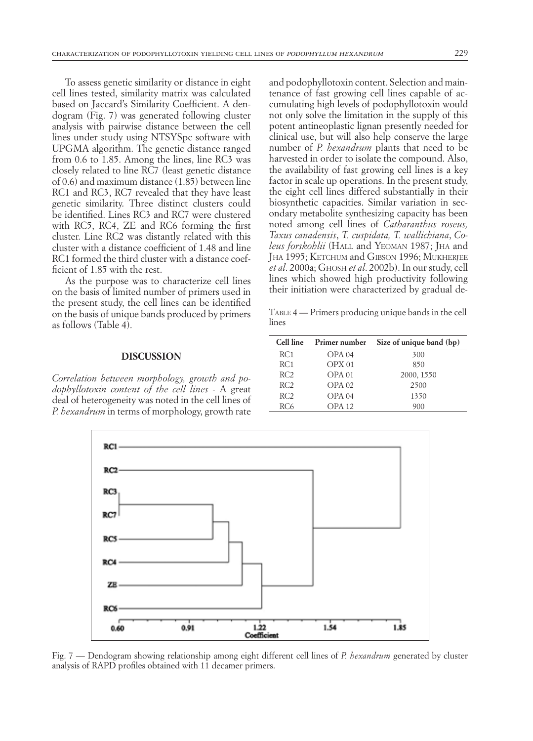To assess genetic similarity or distance in eight cell lines tested, similarity matrix was calculated based on Jaccard's Similarity Coefficient. A dendogram (Fig. 7) was generated following cluster analysis with pairwise distance between the cell lines under study using NTSYSpc software with UPGMA algorithm. The genetic distance ranged from 0.6 to 1.85. Among the lines, line RC3 was closely related to line RC7 (least genetic distance of 0.6) and maximum distance (1.85) between line RC1 and RC3, RC7 revealed that they have least genetic similarity. Three distinct clusters could be identified. Lines RC3 and RC7 were clustered with RC5, RC4, ZE and RC6 forming the first cluster. Line RC2 was distantly related with this cluster with a distance coefficient of 1.48 and line RC1 formed the third cluster with a distance coefficient of 1.85 with the rest.

As the purpose was to characterize cell lines on the basis of limited number of primers used in the present study, the cell lines can be identified on the basis of unique bands produced by primers as follows (Table 4).

#### **DISCUSSION**

*Correlation between morphology, growth and podophyllotoxin content of the cell lines* - A great deal of heterogeneity was noted in the cell lines of *P. hexandrum* in terms of morphology, growth rate and podophyllotoxin content. Selection and maintenance of fast growing cell lines capable of accumulating high levels of podophyllotoxin would not only solve the limitation in the supply of this potent antineoplastic lignan presently needed for clinical use, but will also help conserve the large number of *P. hexandrum* plants that need to be harvested in order to isolate the compound. Also, the availability of fast growing cell lines is a key factor in scale up operations. In the present study, the eight cell lines differed substantially in their biosynthetic capacities. Similar variation in secondary metabolite synthesizing capacity has been noted among cell lines of *Catharanthus roseus, Taxus canadensis*, *T. cuspidata, T. wallichiana*, *Coleus forskohlii* (HALL and YEOMAN 1987; JHA and Jha 1995; Ketchum and Gibson 1996; Mukherjee *et al*. 2000a; Ghosh *et al*. 2002b). In our study, cell lines which showed high productivity following their initiation were characterized by gradual de-

 $T$ ABLE  $4$  — Primers producing unique bands in the cell lines

|                 | Cell line Primer number | Size of unique band (bp) |
|-----------------|-------------------------|--------------------------|
| RC <sub>1</sub> | OPA <sub>04</sub>       | 300                      |
| RC1             | OPX <sub>01</sub>       | 850                      |
| RC <sub>2</sub> | OPA <sub>01</sub>       | 2000, 1550               |
| RC <sub>2</sub> | $OPA$ 02                | 2500                     |
| RC <sub>2</sub> | OPA <sub>04</sub>       | 1350                     |
| RC <sub>6</sub> | <b>OPA 12</b>           | 900                      |



Fig. 7 — Dendogram showing relationship among eight different cell lines of *P. hexandrum* generated by cluster analysis of RAPD profiles obtained with 11 decamer primers.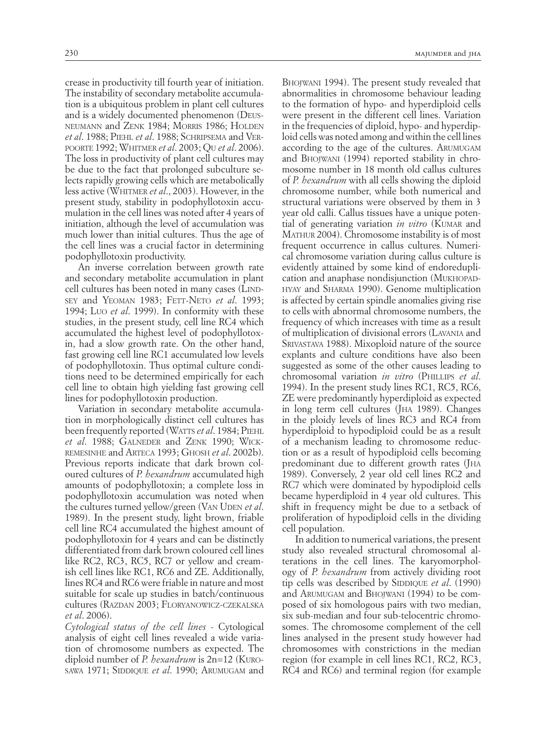crease in productivity till fourth year of initiation. The instability of secondary metabolite accumulation is a ubiquitous problem in plant cell cultures and is a widely documented phenomenon (Deusneumann and Zenk 1984; Morris 1986; Holden *et al*. 1988; Piehl *et al*. 1988; Schripsema and Verpoorte 1992; Whitmer *et al*. 2003; Q<sup>u</sup> *et al*. 2006). The loss in productivity of plant cell cultures may be due to the fact that prolonged subculture selects rapidly growing cells which are metabolically less active (Whitmer *et al*., 2003). However, in the present study, stability in podophyllotoxin accumulation in the cell lines was noted after 4 years of initiation, although the level of accumulation was much lower than initial cultures. Thus the age of the cell lines was a crucial factor in determining podophyllotoxin productivity.

An inverse correlation between growth rate and secondary metabolite accumulation in plant cell cultures has been noted in many cases (LINDsey and YEOMAN 1983; FETT-NETO et al. 1993; 1994; Luo *et al*. 1999). In conformity with these studies, in the present study, cell line RC4 which accumulated the highest level of podophyllotoxin, had a slow growth rate. On the other hand, fast growing cell line RC1 accumulated low levels of podophyllotoxin. Thus optimal culture conditions need to be determined empirically for each cell line to obtain high yielding fast growing cell lines for podophyllotoxin production.

Variation in secondary metabolite accumulation in morphologically distinct cell cultures has been frequently reported (WATTS *et al.* 1984; PIEHL *et al.* 1988; GALNEDER and ZENK 1990; WICKremesinhe and Arteca 1993; Ghosh *et al*. 2002b). Previous reports indicate that dark brown coloured cultures of *P. hexandrum* accumulated high amounts of podophyllotoxin; a complete loss in podophyllotoxin accumulation was noted when the cultures turned yellow/green (VAN UDEN *et al.*) 1989). In the present study, light brown, friable cell line RC4 accumulated the highest amount of podophyllotoxin for 4 years and can be distinctly differentiated from dark brown coloured cell lines like RC2, RC3, RC5, RC7 or yellow and creamish cell lines like RC1, RC6 and ZE. Additionally, lines RC4 and RC6 were friable in nature and most suitable for scale up studies in batch/continuous cultures (Razdan 2003; Floryanowicz-czekalska *et al*. 2006).

*Cytological status of the cell lines* - Cytological analysis of eight cell lines revealed a wide variation of chromosome numbers as expected. The diploid number of *P. hexandrum* is 2n=12 (Kurosawa 1971; SIDDIQUE *et al.* 1990; ARUMUGAM and

Bhojwani 1994). The present study revealed that abnormalities in chromosome behaviour leading to the formation of hypo- and hyperdiploid cells were present in the different cell lines. Variation in the frequencies of diploid, hypo- and hyperdiploid cells was noted among and within the cell lines according to the age of the cultures. Arumugam and Bhojwani (1994) reported stability in chromosome number in 18 month old callus cultures of *P. hexandrum* with all cells showing the diploid chromosome number, while both numerical and structural variations were observed by them in 3 year old calli. Callus tissues have a unique potential of generating variation *in vitro* (KUMAR and MATHUR 2004). Chromosome instability is of most frequent occurrence in callus cultures. Numerical chromosome variation during callus culture is evidently attained by some kind of endoreduplication and anaphase nondisjunction (Mukhopadhyay and Sharma 1990). Genome multiplication is affected by certain spindle anomalies giving rise to cells with abnormal chromosome numbers, the frequency of which increases with time as a result of multiplication of divisional errors (Lavania and Srivastava 1988). Mixoploid nature of the source explants and culture conditions have also been suggested as some of the other causes leading to chromosomal variation *in vitro* (Phillips *et al*. 1994). In the present study lines RC1, RC5, RC6, ZE were predominantly hyperdiploid as expected in long term cell cultures (J<sub>HA</sub> 1989). Changes in the ploidy levels of lines RC3 and RC4 from hyperdiploid to hypodiploid could be as a result of a mechanism leading to chromosome reduction or as a result of hypodiploid cells becoming predominant due to different growth rates (JHA 1989). Conversely, 2 year old cell lines RC2 and RC7 which were dominated by hypodiploid cells became hyperdiploid in 4 year old cultures. This shift in frequency might be due to a setback of proliferation of hypodiploid cells in the dividing cell population.

In addition to numerical variations, the present study also revealed structural chromosomal alterations in the cell lines. The karyomorphology of *P. hexandrum* from actively dividing root tip cells was described by SIDDIQUE et al. (1990) and Arumugam and Bhojwani (1994) to be composed of six homologous pairs with two median, six sub-median and four sub-telocentric chromosomes. The chromosome complement of the cell lines analysed in the present study however had chromosomes with constrictions in the median region (for example in cell lines RC1, RC2, RC3, RC4 and RC6) and terminal region (for example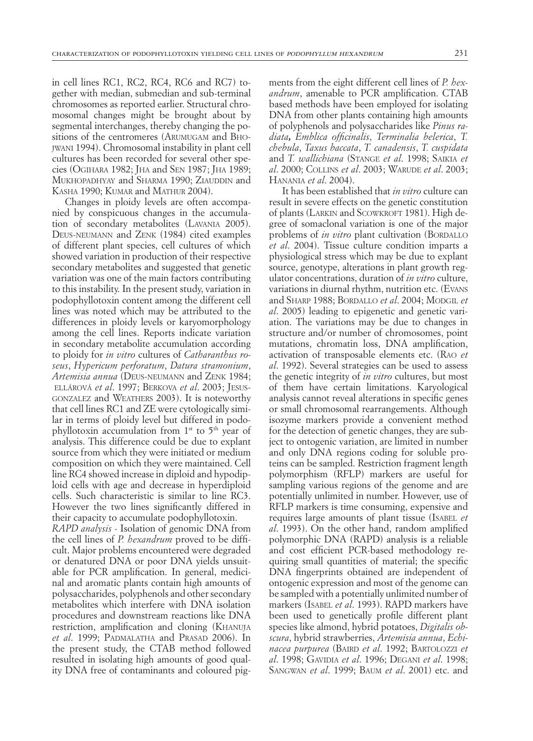in cell lines RC1, RC2, RC4, RC6 and RC7) together with median, submedian and sub-terminal chromosomes as reported earlier. Structural chromosomal changes might be brought about by segmental interchanges, thereby changing the positions of the centromeres (Arumugam and Bhojwani 1994). Chromosomal instability in plant cell cultures has been recorded for several other species (Ogihara 1982; Jha and Sen 1987; Jha 1989; MUKHOPADHYAY and SHARMA 1990: ZIAUDDIN and KASHA 1990; KUMAR and MATHUR 2004).

Changes in ploidy levels are often accompanied by conspicuous changes in the accumulation of secondary metabolites (Lavania 2005). Deus-neumann and Zenk (1984) cited examples of different plant species, cell cultures of which showed variation in production of their respective secondary metabolites and suggested that genetic variation was one of the main factors contributing to this instability. In the present study, variation in podophyllotoxin content among the different cell lines was noted which may be attributed to the differences in ploidy levels or karyomorphology among the cell lines. Reports indicate variation in secondary metabolite accumulation according to ploidy for *in vitro* cultures of *Catharanthus roseus*, *Hypericum perforatum*, *Datura stramonium*, *Artemisia annua* (Deus-neumann and Zenk 1984; ellárová *et al*. 1997; Berkova *et al*. 2003; Jesusgonzalez and Weathers 2003). It is noteworthy that cell lines RC1 and ZE were cytologically similar in terms of ploidy level but differed in podophyllotoxin accumulation from  $1<sup>st</sup>$  to  $5<sup>th</sup>$  year of analysis. This difference could be due to explant source from which they were initiated or medium composition on which they were maintained. Cell line RC4 showed increase in diploid and hypodiploid cells with age and decrease in hyperdiploid cells. Such characteristic is similar to line RC3. However the two lines significantly differed in their capacity to accumulate podophyllotoxin.

*RAPD analysis* - Isolation of genomic DNA from the cell lines of *P. hexandrum* proved to be difficult. Major problems encountered were degraded or denatured DNA or poor DNA yields unsuitable for PCR amplification. In general, medicinal and aromatic plants contain high amounts of polysaccharides, polyphenols and other secondary metabolites which interfere with DNA isolation procedures and downstream reactions like DNA restriction, amplification and cloning (Khanuja et al. 1999; PADMALATHA and PRASAD 2006). In the present study, the CTAB method followed resulted in isolating high amounts of good quality DNA free of contaminants and coloured pigments from the eight different cell lines of *P. hexandrum*, amenable to PCR amplification. CTAB based methods have been employed for isolating DNA from other plants containing high amounts of polyphenols and polysaccharides like *Pinus radiata, Emblica officinalis*, *Terminalia belerica*, *T. chebula*, *Taxus baccata*, *T. canadensis*, *T. cuspidata*  and *T. wallichiana* (Stange *et al*. 1998; Saikia *et al.* 2000; COLLINS *et al.* 2003; WARUDE *et al.* 2003; Hanania *et al*. 2004).

It has been established that *in vitro* culture can result in severe effects on the genetic constitution of plants (LARKIN and SCOWKROFT 1981). High degree of somaclonal variation is one of the major problems of *in vitro* plant cultivation (BORDALLO *et al*. 2004). Tissue culture condition imparts a physiological stress which may be due to explant source, genotype, alterations in plant growth regulator concentrations, duration of *in vitro* culture, variations in diurnal rhythm, nutrition etc. (Evans and Sharp 1988; Bordallo *et al*. 2004; Modgil *et al*. 2005) leading to epigenetic and genetic variation. The variations may be due to changes in structure and/or number of chromosomes, point mutations, chromatin loss, DNA amplification, activation of transposable elements etc. (Rao *et al*. 1992). Several strategies can be used to assess the genetic integrity of *in vitro* cultures, but most of them have certain limitations. Karyological analysis cannot reveal alterations in specific genes or small chromosomal rearrangements. Although isozyme markers provide a convenient method for the detection of genetic changes, they are subject to ontogenic variation, are limited in number and only DNA regions coding for soluble proteins can be sampled. Restriction fragment length polymorphism (RFLP) markers are useful for sampling various regions of the genome and are potentially unlimited in number. However, use of RFLP markers is time consuming, expensive and requires large amounts of plant tissue (Isabel *et al*. 1993). On the other hand, random amplified polymorphic DNA (RAPD) analysis is a reliable and cost efficient PCR-based methodology requiring small quantities of material; the specific DNA fingerprints obtained are independent of ontogenic expression and most of the genome can be sampled with a potentially unlimited number of markers (Isabel *et al*. 1993). RAPD markers have been used to genetically profile different plant species like almond, hybrid potatoes, *Digitalis obscura*, hybrid strawberries, *Artemisia annua*, *Echinacea purpurea* (Baird *et al*. 1992; Bartolozzi *et al*. 1998; Gavidia *et al*. 1996; Degani *et al*. 1998; Sangwan *et al*. 1999; Baum *et al*. 2001) etc. and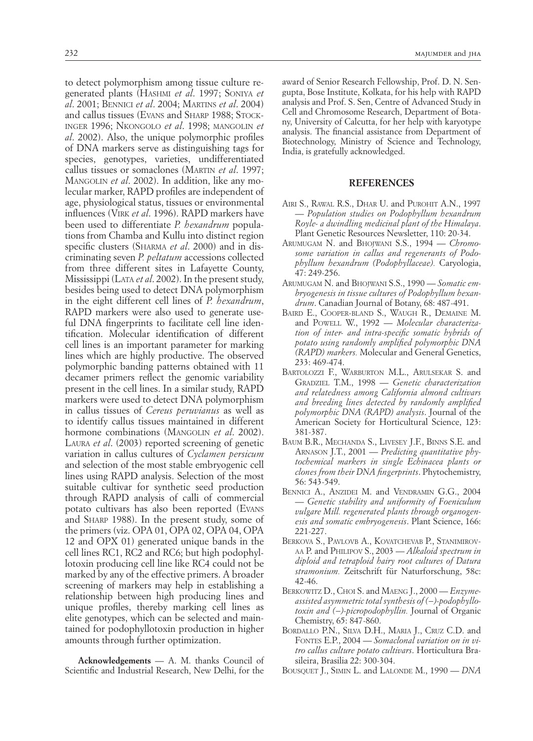to detect polymorphism among tissue culture regenerated plants (Hashmi *et al*. 1997; Soniya *et al*. 2001; Bennici *et al*. 2004; Martins *et al*. 2004) and callus tissues (EVANS and SHARP 1988; STOCKinger 1996; Nkongolo *et al*. 1998; mangolin *et al*. 2002). Also, the unique polymorphic profiles of DNA markers serve as distinguishing tags for species, genotypes, varieties, undifferentiated callus tissues or somaclones (Martin *et al*. 1997; Mangolin *et al*. 2002). In addition, like any molecular marker, RAPD profiles are independent of age, physiological status, tissues or environmental influences (Virk *et al*. 1996). RAPD markers have been used to differentiate *P. hexandrum* populations from Chamba and Kullu into distinct region specific clusters (Sharma *et al*. 2000) and in discriminating seven *P. peltatum* accessions collected from three different sites in Lafayette County, Mississippi (Lata *et al*. 2002). In the present study, besides being used to detect DNA polymorphism in the eight different cell lines of *P. hexandrum*, RAPD markers were also used to generate useful DNA fingerprints to facilitate cell line identification. Molecular identification of different cell lines is an important parameter for marking lines which are highly productive. The observed polymorphic banding patterns obtained with 11 decamer primers reflect the genomic variability present in the cell lines. In a similar study, RAPD markers were used to detect DNA polymorphism in callus tissues of *Cereus peruvianus* as well as to identify callus tissues maintained in different hormone combinations (MANGOLIN *et al.* 2002). Laura *et al*. (2003) reported screening of genetic variation in callus cultures of *Cyclamen persicum* and selection of the most stable embryogenic cell lines using RAPD analysis. Selection of the most suitable cultivar for synthetic seed production through RAPD analysis of calli of commercial potato cultivars has also been reported (Evans and Sharp 1988). In the present study, some of the primers (viz. OPA 01, OPA 02, OPA 04, OPA 12 and OPX 01) generated unique bands in the cell lines RC1, RC2 and RC6; but high podophyllotoxin producing cell line like RC4 could not be marked by any of the effective primers. A broader screening of markers may help in establishing a relationship between high producing lines and unique profiles, thereby marking cell lines as elite genotypes, which can be selected and maintained for podophyllotoxin production in higher amounts through further optimization.

**Acknowledgements** — A. M. thanks Council of Scientific and Industrial Research, New Delhi, for the

award of Senior Research Fellowship, Prof. D. N. Sengupta, Bose Institute, Kolkata, for his help with RAPD analysis and Prof. S. Sen, Centre of Advanced Study in Cell and Chromosome Research, Department of Botany, University of Calcutta, for her help with karyotype analysis. The financial assistance from Department of Biotechnology, Ministry of Science and Technology, India, is gratefully acknowledged.

#### **REFERENCES**

- AIRI S., RAWAL R.S., DHAR U. and PUROHIT A.N., 1997 — *Population studies on Podophyllum hexandrum Royle- a dwindling medicinal plant of the Himalaya*. Plant Genetic Resources Newsletter, 110: 20-34.
- ARUMUGAM N. and BHOJWANI S.S., 1994 Chromo*some variation in callus and regenerants of Podophyllum hexandrum (Podophyllaceae).* Caryologia, 47: 249-256.
- ARUMUGAM N. and BHOJWANI S.S., 1990 Somatic em*bryogenesis in tissue cultures of Podophyllum hexandrum*. Canadian Journal of Botany, 68: 487-491.
- BAIRD E., COOPER-BLAND S., WAUGH R., DEMAINE M. and Powell w., 1992 — *Molecular characterization of inter- and intra-specific somatic hybrids of potato using randomly amplified polymorphic DNA (RAPD) markers.* Molecular and General Genetics, 233: 469-474.
- BARTOLOZZI F., WARBURTON M.L., ARULSEKAR S. and GRADZIEL T.M., 1998 - Genetic characterization *and relatedness among California almond cultivars and breeding lines detected by randomly amplified polymorphic DNA (RAPD) analysis*. Journal of the American Society for Horticultural Science, 123: 381-387.
- BAUM B.R., MECHANDA S., LIVESEY J.F., BINNS S.E. and ARNASON J.T., 2001 — *Predicting quantitative phytochemical markers in single Echinacea plants or clones from their DNA fingerprints*. Phytochemistry, 56: 543-549.
- BENNICI A., ANZIDEI M. and VENDRAMIN G.G., 2004 — *Genetic stability and uniformity of Foeniculum vulgare Mill. regenerated plants through organogenesis and somatic embryogenesis*. Plant Science, 166: 221-227.
- BERKOVA S., PAVLOVB A., KOVATCHEVAB P., STANIMIROV-AA P. and PHILIPOV S., 2003 - Alkaloid spectrum in *diploid and tetraploid hairy root cultures of Datura stramonium.* Zeitschrift für Naturforschung, 58c: 42-46.
- BERKOWITZ D., CHOI S. and MAENG J., 2000 *Enzymeassisted asymmetric total synthesis of (−)-podophyllotoxin and (−)-picropodophyllin.* Journal of Organic Chemistry, 65: 847-860.
- BORDALLO P.N., SILVA D.H., MARIA J., CRUZ C.D. and FONTES E.P., 2004 – Somaclonal variation on in vi*tro callus culture potato cultivars*. Horticultura Brasileira, Brasilia 22: 300-304.
- bousquet j., Simin l. and Lalonde m., 1990 *DNA*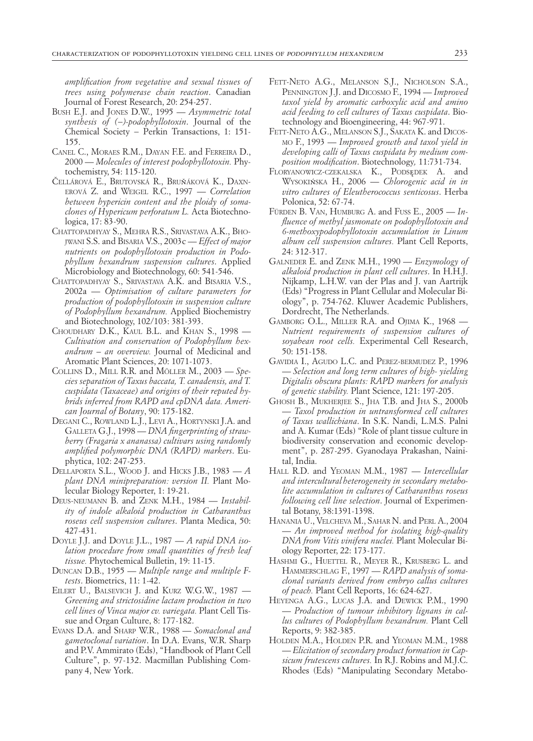*amplification from vegetative and sexual tissues of trees using polymerase chain reaction*. Canadian Journal of Forest Research, 20: 254-257.

- Bush E.J. and JONES D.W., 1995 *Asymmetric total synthesis of (−)-podophyllotoxin*. Journal of the Chemical Society − Perkin Transactions, 1: 151- 155.
- CANEL C., MORAES R.M., DAYAN F.E. and FERREIRA D., 2000 — *Molecules of interest podophyllotoxin.* Phytochemistry, 54: 115-120.
- Čellárová E., Brutovská R., Bruňáková K., Daxnerová z. and Weigel r.c., 1997 — *Correlation between hypericin content and the ploidy of somaclones of Hypericum perforatum L.* Acta Biotechnologica, 17: 83-90.
- CHATTOPADHYAY S., MEHRA R.S., SRIVASTAVA A.K., BHOjwani s.s. and Bisaria v.s., 2003c — *Effect of major nutrients on podophyllotoxin production in Podophyllum hexandrum suspension cultures*. Applied Microbiology and Biotechnology, 60: 541-546.
- CHATTOPADHYAY S., SRIVASTAVA A.K. and BISARIA V.S., 2002a — *Optimisation of culture parameters for production of podophyllotoxin in suspension culture of Podophyllum hexandrum.* Applied Biochemistry and Biotechnology, 102/103: 381-393.
- choudhary d.k., Kaul b.l. and Khan s., 1998 *Cultivation and conservation of Podophyllum hexandrum – an overview.* Journal of Medicinal and Aromatic Plant Sciences, 20: 1071-1073.
- COLLINS D., MILL R.R. and MÖLLER M., 2003 Spe*cies separation of Taxus baccata, T. canadensis, and T. cuspidata (Taxaceae) and origins of their reputed hybrids inferred from RAPD and cpDNA data. American Journal of Botany*, 90: 175-182.
- DEGANI C., ROWLAND L.J., LEVI A., HORTYNSKI J.A. and Galleta g.j., 1998 — *DNA fingerprinting of strawberry (Fragaria x ananassa) cultivars using randomly amplified polymorphic DNA (RAPD) markers*. Euphytica, 102: 247-253.
- dellaporta s.l., Wood j. and Hicks j.b., 1983 *A plant DNA minipreparation: version II.* Plant Molecular Biology Reporter, 1: 19-21.
- DEUS-NEUMANN B. and ZENK M.H., 1984 *Instability of indole alkaloid production in Catharanthus roseus cell suspension cultures*. Planta Medica, 50: 427-431.
- DOYLE J.J. and DOYLE J.L., 1987 *A rapid DNA isolation procedure from small quantities of fresh leaf tissue.* Phytochemical Bulletin, 19: 11-15.
- DUNCAN D.B., 1955 *Multiple range and multiple Ftests*. Biometrics, 11: 1-42.
- EILERT U., BALSEVICH J. and KURZ W.G.W., 1987 -*Greening and strictosidine lactam production in two cell lines of Vinca major cv. variegata.* Plant Cell Tissue and Organ Culture, 8: 177-182.
- EVANS D.A. and SHARP W.R., 1988 Somaclonal and *gametoclonal variation*. In D.A. Evans, W.R. Sharp and P.V. Ammirato (Eds), "Handbook of Plant Cell Culture", p. 97-132. Macmillan Publishing Company 4, New York.
- FETT-NETO A.G., MELANSON S.J., NICHOLSON S.A., Pennington j.j. and Dicosmo f., 1994 — *Improved taxol yield by aromatic carboxylic acid and amino acid feeding to cell cultures of Taxus cuspidata*. Biotechnology and Bioengineering, 44: 967-971.
- FETT-NETO A.G., MELANSON S.J., SAKATA K. and DICOSmo f., 1993 — *Improved growth and taxol yield in developing calli of Taxus cuspidata by medium composition modification*. Biotechnology*,* 11:731-734.
- floryanowicz-czekalska k., Podsędek a. and Wysokińska h., 2006 — *Chlorogenic acid in in vitro cultures of Eleutherococcus senticosus*. Herba Polonica, 52: 67-74.
- fürden b. van, Humburg a. and Fuss e., 2005 *Influence of methyl jasmonate on podophyllotoxin and 6-methoxypodophyllotoxin accumulation in Linum album cell suspension cultures.* Plant Cell Reports, 24: 312-317.
- GALNEDER E. and ZENK M.H., 1990 *Enzymology of alkaloid production in plant cell cultures*. In H.H.J. Nijkamp, L.H.W. van der Plas and J. van Aartrijk (Eds) "Progress in Plant Cellular and Molecular Biology", p. 754-762. Kluwer Academic Publishers, Dordrecht, The Netherlands.
- GAMBORG O.L., MILLER R.A. and OJIMA K., 1968 -*Nutrient requirements of suspension cultures of soyabean root cells.* Experimental Cell Research, 50: 151-158.
- GAVIDIA I., AGUDO L.C. and PEREZ-BERMUDEZ P., 1996 — *Selection and long term cultures of high- yielding Digitalis obscura plants: RAPD markers for analysis of genetic stability.* Plant Science, 121: 197-205.
- GHOSH B., MUKHERJEE S., JHA T.B. and JHA S., 2000b — *Taxol production in untransformed cell cultures of Taxus wallichiana*. In S.K. Nandi, L.M.S. Palni and A. Kumar (Eds) "Role of plant tissue culture in biodiversity conservation and economic development", p. 287-295. Gyanodaya Prakashan, Nainital, India.
- HALL R.D. and YEOMAN M.M., 1987 *Intercellular and intercultural heterogeneity in secondary metabolite accumulation in cultures of Catharanthus roseus following cell line selection*. Journal of Experimental Botany, 38:1391-1398.
- HANANIA U., VELCHEVA M., SAHAR N. and PERL A., 2004 — *An improved method for isolating high-quality DNA from Vitis vinifera nuclei.* Plant Molecular Biology Reporter, 22: 173-177.
- HASHMI G., HUETTEL R., MEYER R., KRUSBERG L. and Hammerschlag f., 1997 — *RAPD analysis of somaclonal variants derived from embryo callus cultures of peach.* Plant Cell Reports, 16: 624-627.
- HEYENGA A.G., LUCAS J.A. and DEWICK P.M., 1990 — *Production of tumour inhibitory lignans in callus cultures of Podophyllum hexandrum.* Plant Cell Reports, 9: 382-385.
- HOLDEN M.A., HOLDEN P.R. and YEOMAN M.M., 1988 — *Elicitation of secondary product formation in Capsicum frutescens cultures.* In R.J. Robins and M.J.C. Rhodes (Eds) "Manipulating Secondary Metabo-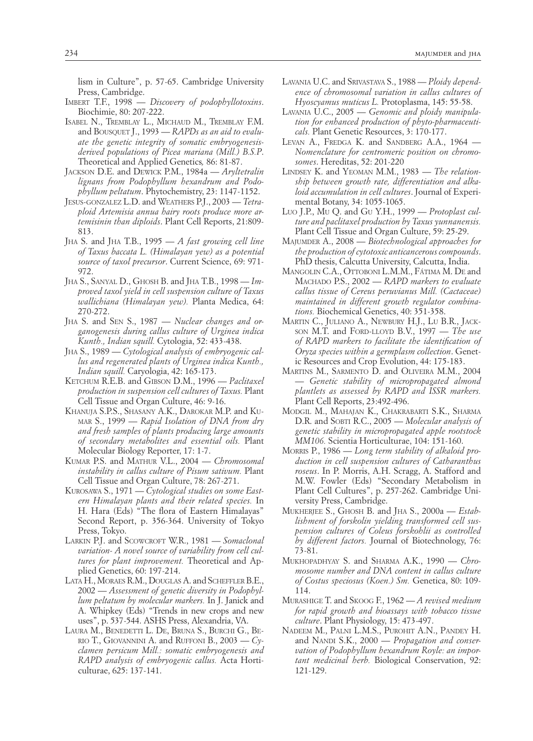lism in Culture", p. 57-65. Cambridge University Press, Cambridge.

- IMBERT T.F., 1998 *Discovery of podophyllotoxins*. Biochimie, 80: 207-222.
- ISABEL N., TREMBLAY L., MICHAUD M., TREMBLAY F.M. and Bousquet j., 1993 — *RAPDs as an aid to evaluate the genetic integrity of somatic embryogenesisderived populations of Picea mariana (Mill.) B.S.P*. Theoretical and Applied Genetics*,* 86: 81-87.
- JACKSON D.E. and DEWICK P.M., 1984a *Aryltetralin lignans from Podophyllum hexandrum and Podophyllum peltatum*. Phytochemistry, 23: 1147-1152.
- JESUS-GONZALEZ L.D. and WEATHERS P.J., 2003 Tetra*ploid Artemisia annua hairy roots produce more artemisinin than diploids*. Plant Cell Reports, 21:809- 813.
- JHA S. and JHA T.B., 1995 *A fast growing cell line of Taxus baccata L. (Himalayan yew) as a potential source of taxol precursor*. Current Science, 69: 971- 972.
- jha s., Sanyal d., Ghosh b. and Jha t.b., 1998 *Improved taxol yield in cell suspension culture of Taxus wallichiana (Himalayan yew).* Planta Medica, 64: 270-272.
- JHA S. and SEN S., 1987 *Nuclear changes and organogenesis during callus culture of Urginea indica Kunth., Indian squill.* Cytologia, 52: 433-438.
- JHA S., 1989 Cytological analysis of embryogenic cal*lus and regenerated plants of Urginea indica Kunth., Indian squill.* Caryologia, 42: 165-173.
- KETCHUM R.E.B. and GIBSON D.M., 1996 Paclitaxel *production in suspension cell cultures of Taxus.* Plant Cell Tissue and Organ Culture, 46: 9-16.
- KHANUJA S.P.S., SHASANY A.K., DAROKAR M.P. and KUmar s., 1999 — *Rapid Isolation of DNA from dry and fresh samples of plants producing large amounts of secondary metabolites and essential oils.* Plant Molecular Biology Reporter, 17: 1-7.
- kumar p.s. and mathur v.l., 2004 *Chromosomal instability in callus culture of Pisum sativum.* Plant Cell Tissue and Organ Culture, 78: 267-271.
- kurosawa s., 1971 *Cytological studies on some Eastern Himalayan plants and their related species.* In H. Hara (Eds) "The flora of Eastern Himalayas" Second Report, p. 356-364. University of Tokyo Press, Tokyo.
- LARKIN P.J. and SCOWCROFT W.R., 1981 Somaclonal *variation- A novel source of variability from cell cultures for plant improvement.* Theoretical and Applied Genetics, 60: 197-214.
- LATA H., MORAES R.M., DOUGLAS A. and SCHEFFLER B.E., 2002 — *Assessment of genetic diversity in Podophyllum peltatum by molecular markers.* In J. Janick and A. Whipkey (Eds) "Trends in new crops and new uses", p. 537-544. ASHS Press, Alexandria, VA.
- LAURA M., BENEDETTI L. DE, BRUNA S., BURCHI G., BErio T., Giovannini A. and Ruffoni B.,  $2003 - Cy$ *clamen persicum Mill.: somatic embryogenesis and RAPD analysis of embryogenic callus.* Acta Horticulturae, 625: 137-141.
- LAVANIA U.C. and SRIVASTAVA S., 1988 *Ploidy dependence of chromosomal variation in callus cultures of Hyoscyamus muticus L.* Protoplasma, 145: 55-58.
- LAVANIA U.C., 2005 Genomic and ploidy manipula*tion for enhanced production of phyto-pharmaceuticals.* Plant Genetic Resources, 3: 170-177.
- LEVAN A., FREDGA K. and SANDBERG A.A., 1964 *Nomenclature for centromeric position on chromosomes*. Hereditas, 52: 201-220
- lindsey K. and yeoman m.m., 1983 *The relationship between growth rate, differentiation and alkaloid accumulation in cell cultures*. Journal of Experimental Botany, 34: 1055-1065.
- Luo J.P., Mu Q. and Gu Y.H., 1999 *Protoplast culture and paclitaxel production by Taxus yunnanensis.*  Plant Cell Tissue and Organ Culture, 59: 25-29.
- majumder a., 2008 *Biotechnological approaches for the production of cytotoxic anticancerous compounds*. PhD thesis, Calcutta University, Calcutta, India.
- MANGOLIN C.A., OTTOBONI L.M.M., FÁTIMA M. DE and machado p.s., 2002 — *RAPD markers to evaluate callus tissue of Cereus peruvianus Mill. (Cactaceae) maintained in different growth regulator combinations.* Biochemical Genetics, 40: 351-358.
- MARTIN C., JULIANO A., NEWBURY H.J., LU B.R., JACKson M.T. and FORD-LLOYD B.V., 1997 - *The use of RAPD markers to facilitate the identification of Oryza species within a germplasm collection*. Genetic Resources and Crop Evolution, 44: 175-183.
- MARTINS M., SARMENTO D. and OLIVEIRA M.M., 2004 — *Genetic stability of micropropagated almond plantlets as assessed by RAPD and ISSR markers.* Plant Cell Reports, 23:492-496.
- modgil m., mahajan k., chakrabarti s.k., sharma D.R. and SOBTI R.C., 2005 - *Molecular analysis of genetic stability in micropropagated apple rootstock MM106.* Scientia Horticulturae, 104: 151-160.
- MORRIS P., 1986 Long term stability of alkaloid pro*duction in cell suspension cultures of Catharanthus roseus*. In P. Morris, A.H. Scragg, A. Stafford and M.W. Fowler (Eds) "Secondary Metabolism in Plant Cell Cultures", p. 257-262. Cambridge University Press, Cambridge.
- mukherjee s., ghosh b. and jha s., 2000a *Establishment of forskolin yielding transformed cell suspension cultures of Coleus forskohlii as controlled by different factors.* Journal of Biotechnology, 76: 73-81.
- mukhopadhyay s. and sharma a.k., 1990 *Chromosome number and DNA content in callus culture of Costus speciosus (Koen.) Sm.* Genetica, 80: 109- 114.
- MURASHIGE T. and SKOOG F., 1962 A revised medium *for rapid growth and bioassays with tobacco tissue culture*. Plant Physiology, 15: 473-497.
- NADEEM M., PALNI L.M.S., PUROHIT A.N., PANDEY H. and NANDI S.K., 2000 – *Propagation and conservation of Podophyllum hexandrum Royle: an important medicinal herb.* Biological Conservation, 92: 121-129.